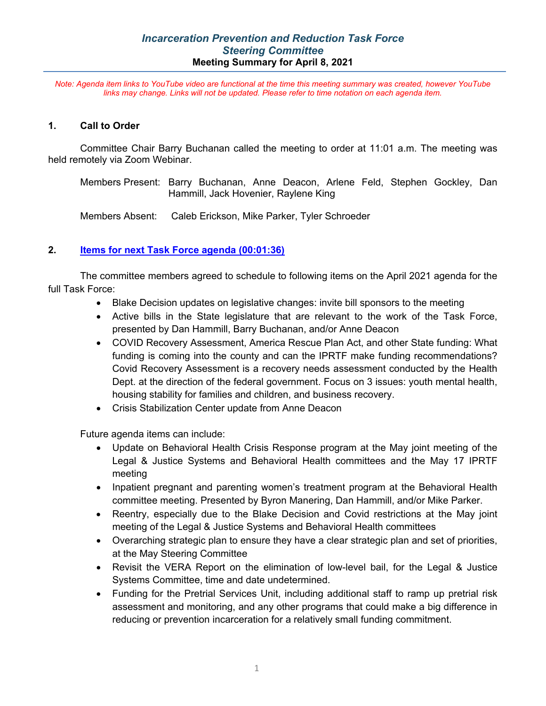*Note: Agenda item links to YouTube video are functional at the time this meeting summary was created, however YouTube links may change. Links will not be updated. Please refer to time notation on each agenda item.*

#### **1. Call to Order**

Committee Chair Barry Buchanan called the meeting to order at 11:01 a.m. The meeting was held remotely via Zoom Webinar.

Members Present: Barry Buchanan, Anne Deacon, Arlene Feld, Stephen Gockley, Dan Hammill, Jack Hovenier, Raylene King

Members Absent: Caleb Erickson, Mike Parker, Tyler Schroeder

### **2. [Items for next Task Force agenda](https://youtu.be/oQ6lzXlYtyQ?t=95) (00:01:36)**

The committee members agreed to schedule to following items on the April 2021 agenda for the full Task Force:

- Blake Decision updates on legislative changes: invite bill sponsors to the meeting
- Active bills in the State legislature that are relevant to the work of the Task Force, presented by Dan Hammill, Barry Buchanan, and/or Anne Deacon
- COVID Recovery Assessment, America Rescue Plan Act, and other State funding: What funding is coming into the county and can the IPRTF make funding recommendations? Covid Recovery Assessment is a recovery needs assessment conducted by the Health Dept. at the direction of the federal government. Focus on 3 issues: youth mental health, housing stability for families and children, and business recovery.
- Crisis Stabilization Center update from Anne Deacon

Future agenda items can include:

- Update on Behavioral Health Crisis Response program at the May joint meeting of the Legal & Justice Systems and Behavioral Health committees and the May 17 IPRTF meeting
- Inpatient pregnant and parenting women's treatment program at the Behavioral Health committee meeting. Presented by Byron Manering, Dan Hammill, and/or Mike Parker.
- Reentry, especially due to the Blake Decision and Covid restrictions at the May joint meeting of the Legal & Justice Systems and Behavioral Health committees
- Overarching strategic plan to ensure they have a clear strategic plan and set of priorities, at the May Steering Committee
- Revisit the VERA Report on the elimination of low-level bail, for the Legal & Justice Systems Committee, time and date undetermined.
- Funding for the Pretrial Services Unit, including additional staff to ramp up pretrial risk assessment and monitoring, and any other programs that could make a big difference in reducing or prevention incarceration for a relatively small funding commitment.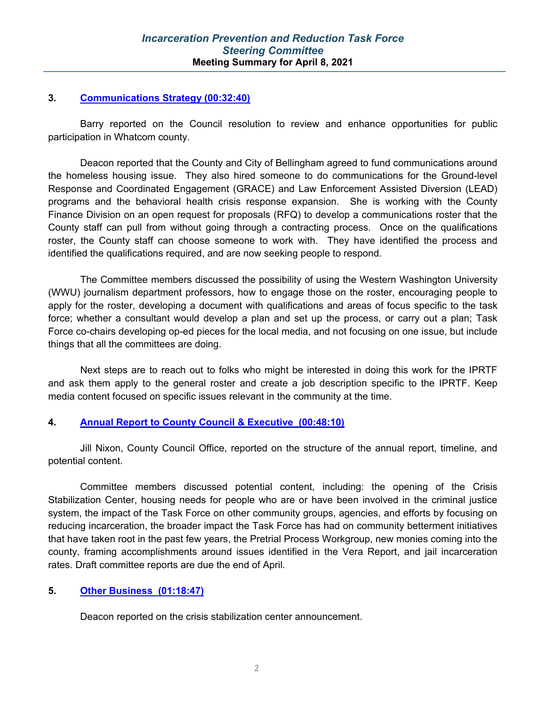#### **3. [Communications Strategy \(00:32:40\)](https://youtu.be/oQ6lzXlYtyQ?t=1962)**

Barry reported on the Council resolution to review and enhance opportunities for public participation in Whatcom county.

Deacon reported that the County and City of Bellingham agreed to fund communications around the homeless housing issue. They also hired someone to do communications for the Ground-level Response and Coordinated Engagement (GRACE) and Law Enforcement Assisted Diversion (LEAD) programs and the behavioral health crisis response expansion. She is working with the County Finance Division on an open request for proposals (RFQ) to develop a communications roster that the County staff can pull from without going through a contracting process. Once on the qualifications roster, the County staff can choose someone to work with. They have identified the process and identified the qualifications required, and are now seeking people to respond.

The Committee members discussed the possibility of using the Western Washington University (WWU) journalism department professors, how to engage those on the roster, encouraging people to apply for the roster, developing a document with qualifications and areas of focus specific to the task force; whether a consultant would develop a plan and set up the process, or carry out a plan; Task Force co-chairs developing op-ed pieces for the local media, and not focusing on one issue, but include things that all the committees are doing.

Next steps are to reach out to folks who might be interested in doing this work for the IPRTF and ask them apply to the general roster and create a job description specific to the IPRTF. Keep media content focused on specific issues relevant in the community at the time.

#### **4. [Annual Report to County Council & Executive](https://youtu.be/oQ6lzXlYtyQ?t=2893) (00:48:10)**

Jill Nixon, County Council Office, reported on the structure of the annual report, timeline, and potential content.

Committee members discussed potential content, including: the opening of the Crisis Stabilization Center, housing needs for people who are or have been involved in the criminal justice system, the impact of the Task Force on other community groups, agencies, and efforts by focusing on reducing incarceration, the broader impact the Task Force has had on community betterment initiatives that have taken root in the past few years, the Pretrial Process Workgroup, new monies coming into the county, framing accomplishments around issues identified in the Vera Report, and jail incarceration rates. Draft committee reports are due the end of April.

#### **5. [Other Business](https://youtu.be/oQ6lzXlYtyQ?t=4726) (01:18:47)**

Deacon reported on the crisis stabilization center announcement.